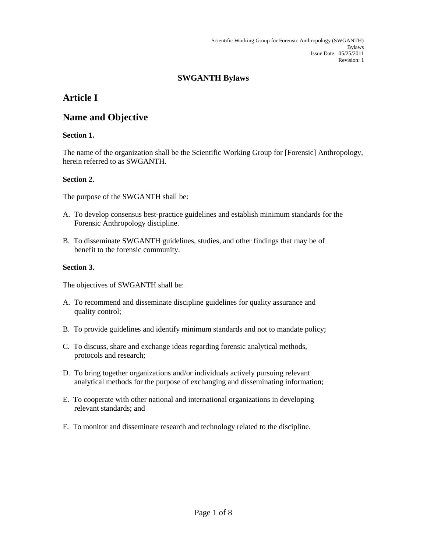### **SWGANTH Bylaws**

## **Article I**

### **Name and Objective**

### **Section 1.**

The name of the organization shall be the Scientific Working Group for [Forensic] Anthropology, herein referred to as SWGANTH.

#### **Section 2.**

The purpose of the SWGANTH shall be:

- A. To develop consensus best-practice guidelines and establish minimum standards for the Forensic Anthropology discipline.
- B. To disseminate SWGANTH guidelines, studies, and other findings that may be of benefit to the forensic community.

#### **Section 3.**

The objectives of SWGANTH shall be:

- A. To recommend and disseminate discipline guidelines for quality assurance and quality control;
- B. To provide guidelines and identify minimum standards and not to mandate policy;
- C. To discuss, share and exchange ideas regarding forensic analytical methods, protocols and research;
- D. To bring together organizations and/or individuals actively pursuing relevant analytical methods for the purpose of exchanging and disseminating information;
- E. To cooperate with other national and international organizations in developing relevant standards; and
- F. To monitor and disseminate research and technology related to the discipline.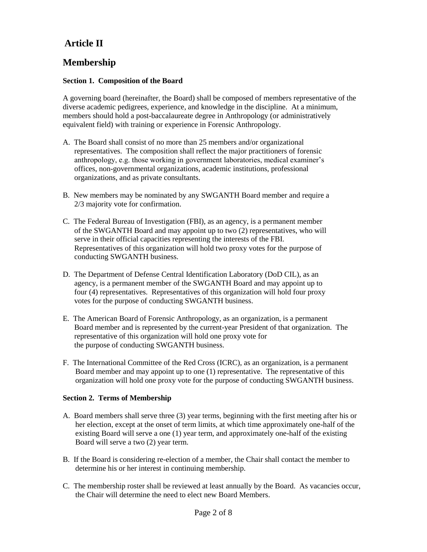# **Article II**

# **Membership**

### **Section 1. Composition of the Board**

A governing board (hereinafter, the Board) shall be composed of members representative of the diverse academic pedigrees, experience, and knowledge in the discipline. At a minimum, members should hold a post-baccalaureate degree in Anthropology (or administratively equivalent field) with training or experience in Forensic Anthropology.

- A. The Board shall consist of no more than 25 members and/or organizational representatives. The composition shall reflect the major practitioners of forensic anthropology, e.g. those working in government laboratories, medical examiner's offices, non-governmental organizations, academic institutions, professional organizations, and as private consultants.
- B. New members may be nominated by any SWGANTH Board member and require a 2/3 majority vote for confirmation.
- C. The Federal Bureau of Investigation (FBI), as an agency, is a permanent member of the SWGANTH Board and may appoint up to two (2) representatives, who will serve in their official capacities representing the interests of the FBI. Representatives of this organization will hold two proxy votes for the purpose of conducting SWGANTH business.
- D. The Department of Defense Central Identification Laboratory (DoD CIL), as an agency, is a permanent member of the SWGANTH Board and may appoint up to four (4) representatives. Representatives of this organization will hold four proxy votes for the purpose of conducting SWGANTH business.
- E. The American Board of Forensic Anthropology, as an organization, is a permanent Board member and is represented by the current-year President of that organization. The representative of this organization will hold one proxy vote for the purpose of conducting SWGANTH business.
- F. The International Committee of the Red Cross (ICRC), as an organization, is a permanent Board member and may appoint up to one (1) representative. The representative of this organization will hold one proxy vote for the purpose of conducting SWGANTH business.

### **Section 2. Terms of Membership**

- A. Board members shall serve three (3) year terms, beginning with the first meeting after his or her election, except at the onset of term limits, at which time approximately one-half of the existing Board will serve a one (1) year term, and approximately one-half of the existing Board will serve a two (2) year term.
- B. If the Board is considering re-election of a member, the Chair shall contact the member to determine his or her interest in continuing membership.
- C. The membership roster shall be reviewed at least annually by the Board. As vacancies occur, the Chair will determine the need to elect new Board Members.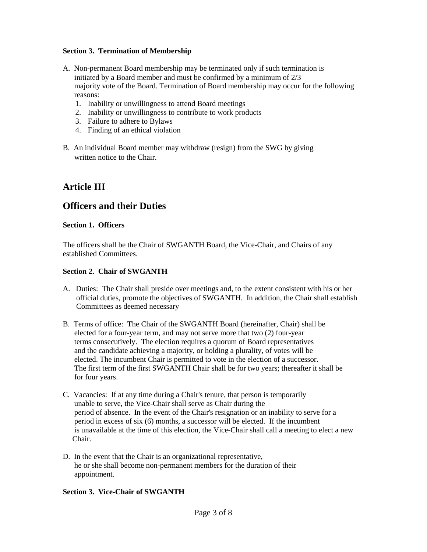#### **Section 3. Termination of Membership**

- A. Non-permanent Board membership may be terminated only if such termination is initiated by a Board member and must be confirmed by a minimum of 2/3 majority vote of the Board. Termination of Board membership may occur for the following reasons:
	- 1. Inability or unwillingness to attend Board meetings
	- 2. Inability or unwillingness to contribute to work products
	- 3. Failure to adhere to Bylaws
	- 4. Finding of an ethical violation
- B. An individual Board member may withdraw (resign) from the SWG by giving written notice to the Chair.

## **Article III**

### **Officers and their Duties**

#### **Section 1. Officers**

The officers shall be the Chair of SWGANTH Board, the Vice-Chair, and Chairs of any established Committees.

#### **Section 2. Chair of SWGANTH**

- A. Duties: The Chair shall preside over meetings and, to the extent consistent with his or her official duties, promote the objectives of SWGANTH. In addition, the Chair shall establish Committees as deemed necessary
- B. Terms of office: The Chair of the SWGANTH Board (hereinafter, Chair) shall be elected for a four-year term, and may not serve more that two (2) four-year terms consecutively. The election requires a quorum of Board representatives and the candidate achieving a majority, or holding a plurality, of votes will be elected. The incumbent Chair is permitted to vote in the election of a successor. The first term of the first SWGANTH Chair shall be for two years; thereafter it shall be for four years.
- C. Vacancies: If at any time during a Chair's tenure, that person is temporarily unable to serve, the Vice-Chair shall serve as Chair during the period of absence. In the event of the Chair's resignation or an inability to serve for a period in excess of six (6) months, a successor will be elected. If the incumbent is unavailable at the time of this election, the Vice-Chair shall call a meeting to elect a new Chair.
- D. In the event that the Chair is an organizational representative, he or she shall become non-permanent members for the duration of their appointment.

#### **Section 3. Vice-Chair of SWGANTH**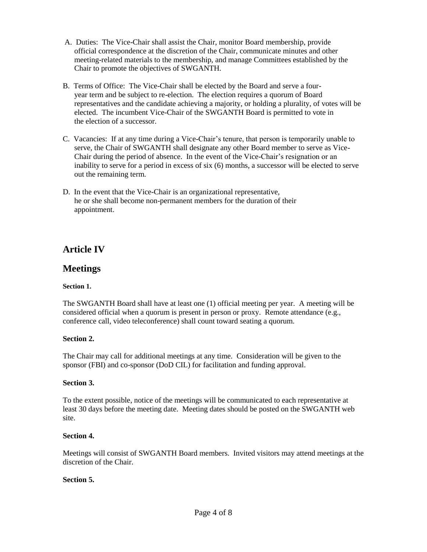- A. Duties: The Vice-Chair shall assist the Chair, monitor Board membership, provide official correspondence at the discretion of the Chair, communicate minutes and other meeting-related materials to the membership, and manage Committees established by the Chair to promote the objectives of SWGANTH.
- B. Terms of Office: The Vice-Chair shall be elected by the Board and serve a four year term and be subject to re-election. The election requires a quorum of Board representatives and the candidate achieving a majority, or holding a plurality, of votes will be elected. The incumbent Vice-Chair of the SWGANTH Board is permitted to vote in the election of a successor.
- C. Vacancies: If at any time during a Vice-Chair's tenure, that person is temporarily unable to serve, the Chair of SWGANTH shall designate any other Board member to serve as Vice- Chair during the period of absence. In the event of the Vice-Chair's resignation or an inability to serve for a period in excess of six (6) months, a successor will be elected to serve out the remaining term.
- D. In the event that the Vice-Chair is an organizational representative, he or she shall become non-permanent members for the duration of their appointment.

## **Article IV**

### **Meetings**

### **Section 1.**

The SWGANTH Board shall have at least one (1) official meeting per year. A meeting will be considered official when a quorum is present in person or proxy. Remote attendance (e.g., conference call, video teleconference) shall count toward seating a quorum.

### **Section 2.**

The Chair may call for additional meetings at any time. Consideration will be given to the sponsor (FBI) and co-sponsor (DoD CIL) for facilitation and funding approval.

### **Section 3.**

To the extent possible, notice of the meetings will be communicated to each representative at least 30 days before the meeting date. Meeting dates should be posted on the SWGANTH web site.

### **Section 4.**

Meetings will consist of SWGANTH Board members. Invited visitors may attend meetings at the discretion of the Chair.

### **Section 5.**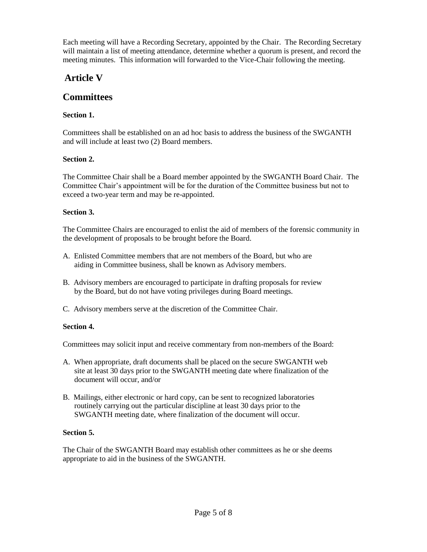Each meeting will have a Recording Secretary, appointed by the Chair. The Recording Secretary will maintain a list of meeting attendance, determine whether a quorum is present, and record the meeting minutes. This information will forwarded to the Vice-Chair following the meeting.

# **Article V**

## **Committees**

### **Section 1.**

Committees shall be established on an ad hoc basis to address the business of the SWGANTH and will include at least two (2) Board members.

### **Section 2.**

The Committee Chair shall be a Board member appointed by the SWGANTH Board Chair. The Committee Chair's appointment will be for the duration of the Committee business but not to exceed a two-year term and may be re-appointed.

### **Section 3.**

The Committee Chairs are encouraged to enlist the aid of members of the forensic community in the development of proposals to be brought before the Board.

- A. Enlisted Committee members that are not members of the Board, but who are aiding in Committee business, shall be known as Advisory members.
- B. Advisory members are encouraged to participate in drafting proposals for review by the Board, but do not have voting privileges during Board meetings.
- C. Advisory members serve at the discretion of the Committee Chair.

### **Section 4.**

Committees may solicit input and receive commentary from non-members of the Board:

- A. When appropriate, draft documents shall be placed on the secure SWGANTH web site at least 30 days prior to the SWGANTH meeting date where finalization of the document will occur, and/or
- B. Mailings, either electronic or hard copy, can be sent to recognized laboratories routinely carrying out the particular discipline at least 30 days prior to the SWGANTH meeting date, where finalization of the document will occur.

### **Section 5.**

The Chair of the SWGANTH Board may establish other committees as he or she deems appropriate to aid in the business of the SWGANTH.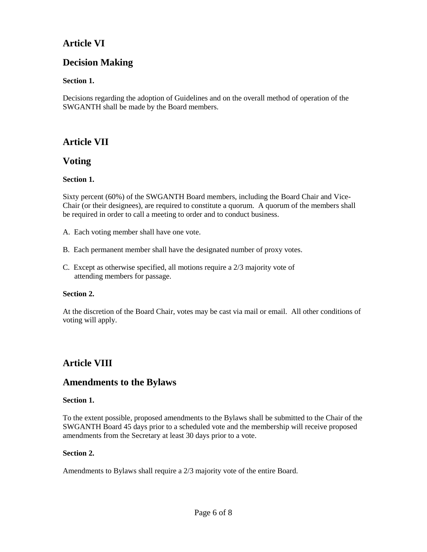# **Article VI**

## **Decision Making**

### **Section 1.**

Decisions regarding the adoption of Guidelines and on the overall method of operation of the SWGANTH shall be made by the Board members.

## **Article VII**

### **Voting**

### **Section 1.**

Sixty percent (60%) of the SWGANTH Board members, including the Board Chair and Vice-Chair (or their designees), are required to constitute a quorum. A quorum of the members shall be required in order to call a meeting to order and to conduct business.

A. Each voting member shall have one vote.

- B. Each permanent member shall have the designated number of proxy votes.
- C. Except as otherwise specified, all motions require a 2/3 majority vote of attending members for passage.

### **Section 2.**

At the discretion of the Board Chair, votes may be cast via mail or email. All other conditions of voting will apply.

# **Article VIII**

### **Amendments to the Bylaws**

### **Section 1.**

To the extent possible, proposed amendments to the Bylaws shall be submitted to the Chair of the SWGANTH Board 45 days prior to a scheduled vote and the membership will receive proposed amendments from the Secretary at least 30 days prior to a vote.

### **Section 2.**

Amendments to Bylaws shall require a 2/3 majority vote of the entire Board.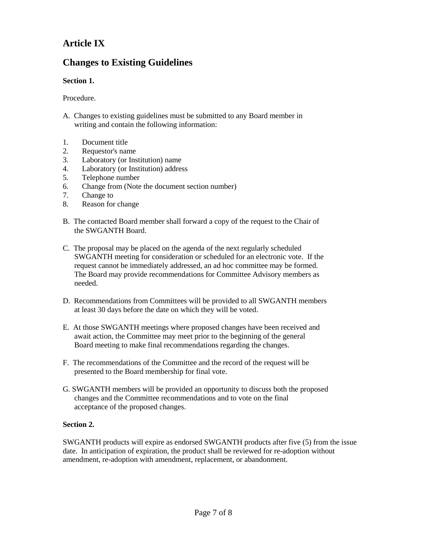# **Article IX**

# **Changes to Existing Guidelines**

### **Section 1.**

Procedure.

- A. Changes to existing guidelines must be submitted to any Board member in writing and contain the following information:
- 1. Document title
- 2. Requestor's name
- 3. Laboratory (or Institution) name
- 4. Laboratory (or Institution) address
- 5. Telephone number
- 6. Change from (Note the document section number)
- 7. Change to
- 8. Reason for change
- B. The contacted Board member shall forward a copy of the request to the Chair of the SWGANTH Board.
- C. The proposal may be placed on the agenda of the next regularly scheduled SWGANTH meeting for consideration or scheduled for an electronic vote. If the request cannot be immediately addressed, an ad hoc committee may be formed. The Board may provide recommendations for Committee Advisory members as needed.
- D. Recommendations from Committees will be provided to all SWGANTH members at least 30 days before the date on which they will be voted.
- E. At those SWGANTH meetings where proposed changes have been received and await action, the Committee may meet prior to the beginning of the general Board meeting to make final recommendations regarding the changes.
- F. The recommendations of the Committee and the record of the request will be presented to the Board membership for final vote.
- G. SWGANTH members will be provided an opportunity to discuss both the proposed changes and the Committee recommendations and to vote on the final acceptance of the proposed changes.

#### **Section 2.**

SWGANTH products will expire as endorsed SWGANTH products after five (5) from the issue date. In anticipation of expiration, the product shall be reviewed for re-adoption without amendment, re-adoption with amendment, replacement, or abandonment.